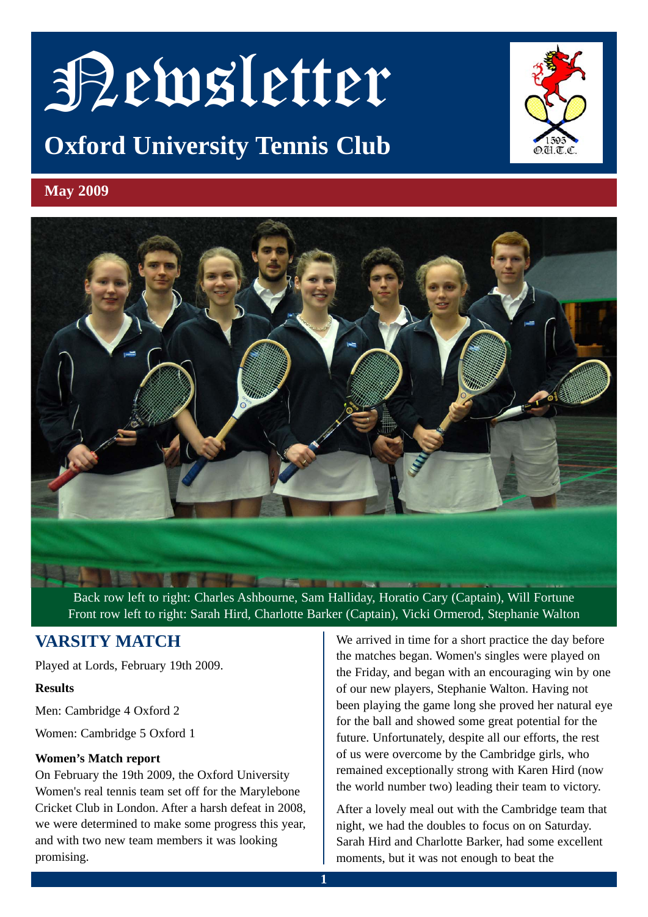# Newsletter

# **Oxford University Tennis Club**



# **May 2009**



Back row left to right: Charles Ashbourne, Sam Halliday, Horatio Cary (Captain), Will Fortune Front row left to right: Sarah Hird, Charlotte Barker (Captain), Vicki Ormerod, Stephanie Walton

# **VARSITY MATCH**

Played at Lords, February 19th 2009.

#### **Results**

Men: Cambridge 4 Oxford 2

Women: Cambridge 5 Oxford 1

#### **Women's Match report**

On February the 19th 2009, the Oxford University Women's real tennis team set off for the Marylebone Cricket Club in London. After a harsh defeat in 2008, we were determined to make some progress this year, and with two new team members it was looking promising.

We arrived in time for a short practice the day before the matches began. Women's singles were played on the Friday, and began with an encouraging win by one of our new players, Stephanie Walton. Having not been playing the game long she proved her natural eye for the ball and showed some great potential for the future. Unfortunately, despite all our efforts, the rest of us were overcome by the Cambridge girls, who remained exceptionally strong with Karen Hird (now the world number two) leading their team to victory.

After a lovely meal out with the Cambridge team that night, we had the doubles to focus on on Saturday. Sarah Hird and Charlotte Barker, had some excellent moments, but it was not enough to beat the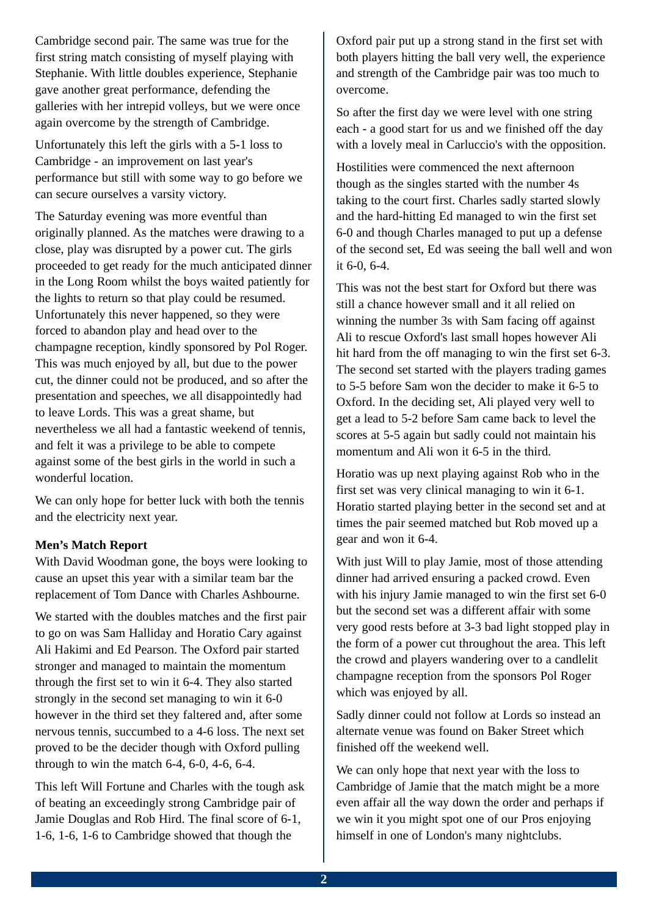Cambridge second pair. The same was true for the first string match consisting of myself playing with Stephanie. With little doubles experience, Stephanie gave another great performance, defending the galleries with her intrepid volleys, but we were once again overcome by the strength of Cambridge.

Unfortunately this left the girls with a 5-1 loss to Cambridge - an improvement on last year's performance but still with some way to go before we can secure ourselves a varsity victory.

The Saturday evening was more eventful than originally planned. As the matches were drawing to a close, play was disrupted by a power cut. The girls proceeded to get ready for the much anticipated dinner in the Long Room whilst the boys waited patiently for the lights to return so that play could be resumed. Unfortunately this never happened, so they were forced to abandon play and head over to the champagne reception, kindly sponsored by Pol Roger. This was much enjoyed by all, but due to the power cut, the dinner could not be produced, and so after the presentation and speeches, we all disappointedly had to leave Lords. This was a great shame, but nevertheless we all had a fantastic weekend of tennis, and felt it was a privilege to be able to compete against some of the best girls in the world in such a wonderful location.

We can only hope for better luck with both the tennis and the electricity next year.

#### **Men's Match Report**

With David Woodman gone, the boys were looking to cause an upset this year with a similar team bar the replacement of Tom Dance with Charles Ashbourne.

We started with the doubles matches and the first pair to go on was Sam Halliday and Horatio Cary against Ali Hakimi and Ed Pearson. The Oxford pair started stronger and managed to maintain the momentum through the first set to win it 6-4. They also started strongly in the second set managing to win it 6-0 however in the third set they faltered and, after some nervous tennis, succumbed to a 4-6 loss. The next set proved to be the decider though with Oxford pulling through to win the match  $6-4$ ,  $6-0$ ,  $4-6$ ,  $6-4$ .

This left Will Fortune and Charles with the tough ask of beating an exceedingly strong Cambridge pair of Jamie Douglas and Rob Hird. The final score of 6-1, 1-6, 1-6, 1-6 to Cambridge showed that though the

Oxford pair put up a strong stand in the first set with both players hitting the ball very well, the experience and strength of the Cambridge pair was too much to overcome.

So after the first day we were level with one string each - a good start for us and we finished off the day with a lovely meal in Carluccio's with the opposition.

Hostilities were commenced the next afternoon though as the singles started with the number 4s taking to the court first. Charles sadly started slowly and the hard-hitting Ed managed to win the first set 6-0 and though Charles managed to put up a defense of the second set, Ed was seeing the ball well and won it 6-0, 6-4.

This was not the best start for Oxford but there was still a chance however small and it all relied on winning the number 3s with Sam facing off against Ali to rescue Oxford's last small hopes however Ali hit hard from the off managing to win the first set 6-3. The second set started with the players trading games to 5-5 before Sam won the decider to make it 6-5 to Oxford. In the deciding set, Ali played very well to get a lead to 5-2 before Sam came back to level the scores at 5-5 again but sadly could not maintain his momentum and Ali won it 6-5 in the third.

Horatio was up next playing against Rob who in the first set was very clinical managing to win it 6-1. Horatio started playing better in the second set and at times the pair seemed matched but Rob moved up a gear and won it 6-4.

With just Will to play Jamie, most of those attending dinner had arrived ensuring a packed crowd. Even with his injury Jamie managed to win the first set 6-0 but the second set was a different affair with some very good rests before at 3-3 bad light stopped play in the form of a power cut throughout the area. This left the crowd and players wandering over to a candlelit champagne reception from the sponsors Pol Roger which was enjoyed by all.

Sadly dinner could not follow at Lords so instead an alternate venue was found on Baker Street which finished off the weekend well.

We can only hope that next year with the loss to Cambridge of Jamie that the match might be a more even affair all the way down the order and perhaps if we win it you might spot one of our Pros enjoying himself in one of London's many nightclubs.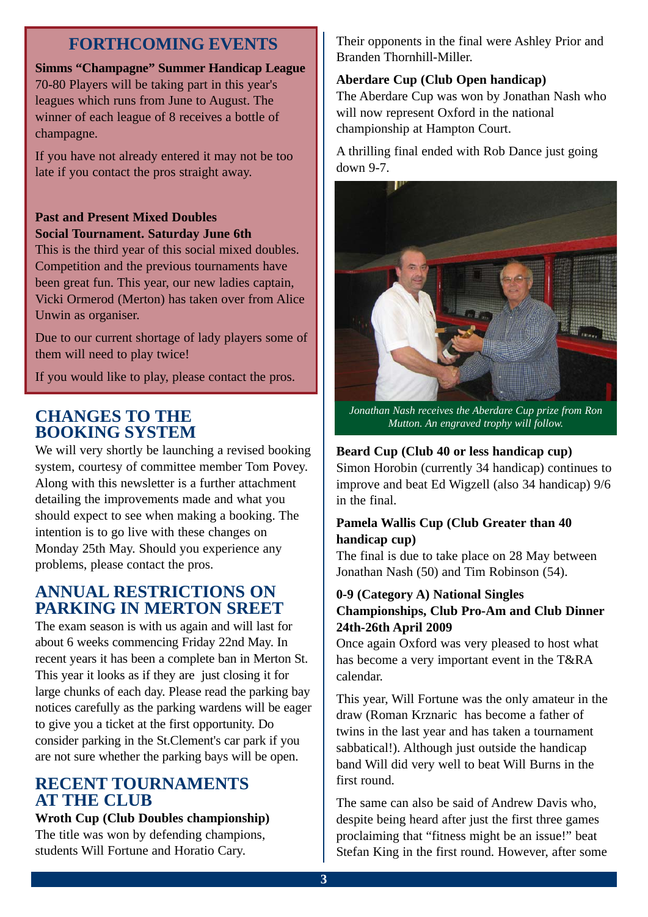# **FORTHCOMING EVENTS**

**Simms "Champagne" Summer Handicap League** 70-80 Players will be taking part in this year's leagues which runs from June to August. The winner of each league of 8 receives a bottle of champagne.

If you have not already entered it may not be too late if you contact the pros straight away.

## **Past and Present Mixed Doubles Social Tournament. Saturday June 6th**

This is the third year of this social mixed doubles. Competition and the previous tournaments have been great fun. This year, our new ladies captain, Vicki Ormerod (Merton) has taken over from Alice Unwin as organiser.

Due to our current shortage of lady players some of them will need to play twice!

If you would like to play, please contact the pros.

# **CHANGES TO THE BOOKING SYSTEM**

We will very shortly be launching a revised booking system, courtesy of committee member Tom Povey. Along with this newsletter is a further attachment detailing the improvements made and what you should expect to see when making a booking. The intention is to go live with these changes on Monday 25th May. Should you experience any problems, please contact the pros.

# **ANNUAL RESTRICTIONS ON PARKING IN MERTON SREET**

The exam season is with us again and will last for about 6 weeks commencing Friday 22nd May. In recent years it has been a complete ban in Merton St. This year it looks as if they are just closing it for large chunks of each day. Please read the parking bay notices carefully as the parking wardens will be eager to give you a ticket at the first opportunity. Do consider parking in the St.Clement's car park if you are not sure whether the parking bays will be open.

# **RECENT TOURNAMENTS AT THE CLUB**

#### **Wroth Cup (Club Doubles championship)**

The title was won by defending champions, students Will Fortune and Horatio Cary.

Their opponents in the final were Ashley Prior and Branden Thornhill-Miller.

#### **Aberdare Cup (Club Open handicap)**

The Aberdare Cup was won by Jonathan Nash who will now represent Oxford in the national championship at Hampton Court.

A thrilling final ended with Rob Dance just going down 9-7.



*Jonathan Nash receives the Aberdare Cup prize from Ron Mutton. An engraved trophy will follow.*

## **Beard Cup (Club 40 or less handicap cup)**

Simon Horobin (currently 34 handicap) continues to improve and beat Ed Wigzell (also 34 handicap) 9/6 in the final.

### **Pamela Wallis Cup (Club Greater than 40 handicap cup)**

The final is due to take place on 28 May between Jonathan Nash (50) and Tim Robinson (54).

#### **0-9 (Category A) National Singles Championships, Club Pro-Am and Club Dinner 24th-26th April 2009**

Once again Oxford was very pleased to host what has become a very important event in the T&RA calendar.

This year, Will Fortune was the only amateur in the draw (Roman Krznaric has become a father of twins in the last year and has taken a tournament sabbatical!). Although just outside the handicap band Will did very well to beat Will Burns in the first round.

The same can also be said of Andrew Davis who, despite being heard after just the first three games proclaiming that "fitness might be an issue!" beat Stefan King in the first round. However, after some